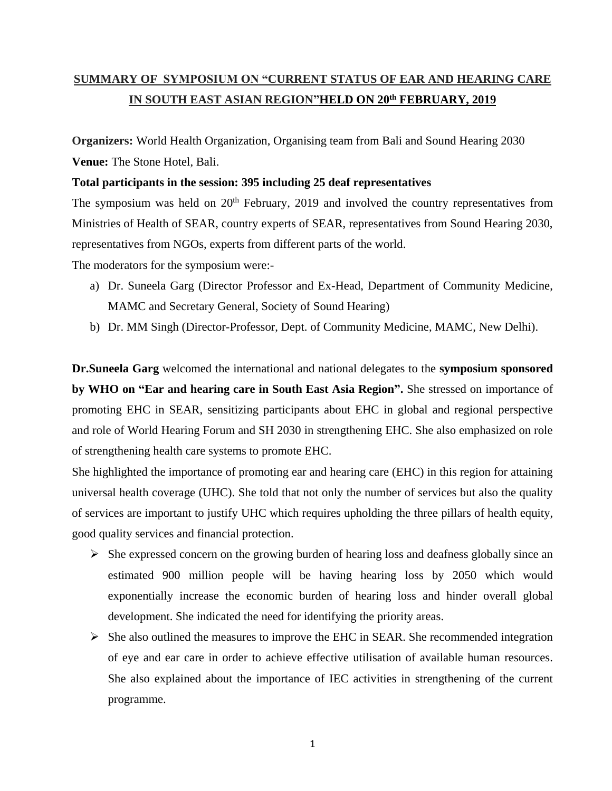# **SUMMARY OF SYMPOSIUM ON "CURRENT STATUS OF EAR AND HEARING CARE IN SOUTH EAST ASIAN REGION"HELD ON 20th FEBRUARY, 2019**

**Organizers:** World Health Organization, Organising team from Bali and Sound Hearing 2030 **Venue:** The Stone Hotel, Bali.

#### **Total participants in the session: 395 including 25 deaf representatives**

The symposium was held on  $20<sup>th</sup>$  February, 2019 and involved the country representatives from Ministries of Health of SEAR, country experts of SEAR, representatives from Sound Hearing 2030, representatives from NGOs, experts from different parts of the world.

The moderators for the symposium were:-

- a) Dr. Suneela Garg (Director Professor and Ex-Head, Department of Community Medicine, MAMC and Secretary General, Society of Sound Hearing)
- b) Dr. MM Singh (Director-Professor, Dept. of Community Medicine, MAMC, New Delhi).

**Dr.Suneela Garg** welcomed the international and national delegates to the **symposium sponsored by WHO on "Ear and hearing care in South East Asia Region".** She stressed on importance of promoting EHC in SEAR, sensitizing participants about EHC in global and regional perspective and role of World Hearing Forum and SH 2030 in strengthening EHC. She also emphasized on role of strengthening health care systems to promote EHC.

She highlighted the importance of promoting ear and hearing care (EHC) in this region for attaining universal health coverage (UHC). She told that not only the number of services but also the quality of services are important to justify UHC which requires upholding the three pillars of health equity, good quality services and financial protection.

- $\triangleright$  She expressed concern on the growing burden of hearing loss and deafness globally since an estimated 900 million people will be having hearing loss by 2050 which would exponentially increase the economic burden of hearing loss and hinder overall global development. She indicated the need for identifying the priority areas.
- $\triangleright$  She also outlined the measures to improve the EHC in SEAR. She recommended integration of eye and ear care in order to achieve effective utilisation of available human resources. She also explained about the importance of IEC activities in strengthening of the current programme.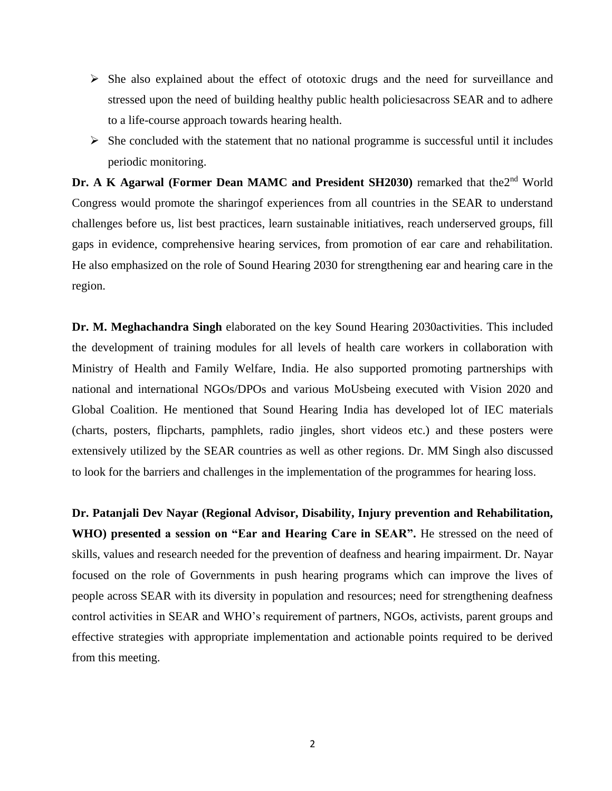- $\triangleright$  She also explained about the effect of ototoxic drugs and the need for surveillance and stressed upon the need of building healthy public health policiesacross SEAR and to adhere to a life-course approach towards hearing health.
- $\triangleright$  She concluded with the statement that no national programme is successful until it includes periodic monitoring.

Dr. A K Agarwal (Former Dean MAMC and President SH2030) remarked that the<sup>2nd</sup> World Congress would promote the sharingof experiences from all countries in the SEAR to understand challenges before us, list best practices, learn sustainable initiatives, reach underserved groups, fill gaps in evidence, comprehensive hearing services, from promotion of ear care and rehabilitation. He also emphasized on the role of Sound Hearing 2030 for strengthening ear and hearing care in the region.

**Dr. M. Meghachandra Singh** elaborated on the key Sound Hearing 2030activities. This included the development of training modules for all levels of health care workers in collaboration with Ministry of Health and Family Welfare, India. He also supported promoting partnerships with national and international NGOs/DPOs and various MoUsbeing executed with Vision 2020 and Global Coalition. He mentioned that Sound Hearing India has developed lot of IEC materials (charts, posters, flipcharts, pamphlets, radio jingles, short videos etc.) and these posters were extensively utilized by the SEAR countries as well as other regions. Dr. MM Singh also discussed to look for the barriers and challenges in the implementation of the programmes for hearing loss.

**Dr. Patanjali Dev Nayar (Regional Advisor, Disability, Injury prevention and Rehabilitation, WHO) presented a session on "Ear and Hearing Care in SEAR".** He stressed on the need of skills, values and research needed for the prevention of deafness and hearing impairment. Dr. Nayar focused on the role of Governments in push hearing programs which can improve the lives of people across SEAR with its diversity in population and resources; need for strengthening deafness control activities in SEAR and WHO's requirement of partners, NGOs, activists, parent groups and effective strategies with appropriate implementation and actionable points required to be derived from this meeting.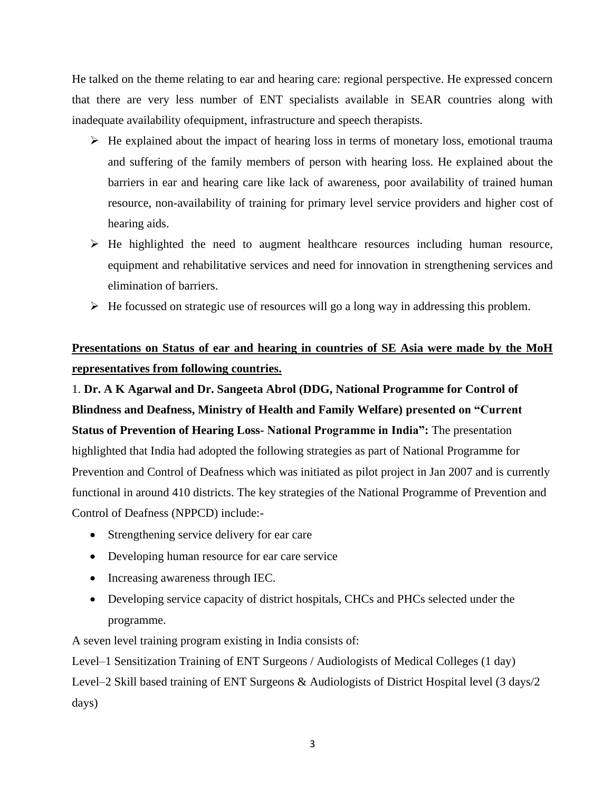He talked on the theme relating to ear and hearing care: regional perspective. He expressed concern that there are very less number of ENT specialists available in SEAR countries along with inadequate availability ofequipment, infrastructure and speech therapists.

- $\triangleright$  He explained about the impact of hearing loss in terms of monetary loss, emotional trauma and suffering of the family members of person with hearing loss. He explained about the barriers in ear and hearing care like lack of awareness, poor availability of trained human resource, non-availability of training for primary level service providers and higher cost of hearing aids.
- $\triangleright$  He highlighted the need to augment healthcare resources including human resource, equipment and rehabilitative services and need for innovation in strengthening services and elimination of barriers.
- $\triangleright$  He focussed on strategic use of resources will go a long way in addressing this problem.

## **Presentations on Status of ear and hearing in countries of SE Asia were made by the MoH representatives from following countries.**

1. **Dr. A K Agarwal and Dr. Sangeeta Abrol (DDG, National Programme for Control of Blindness and Deafness, Ministry of Health and Family Welfare) presented on "Current Status of Prevention of Hearing Loss- National Programme in India":** The presentation highlighted that India had adopted the following strategies as part of National Programme for Prevention and Control of Deafness which was initiated as pilot project in Jan 2007 and is currently functional in around 410 districts. The key strategies of the National Programme of Prevention and Control of Deafness (NPPCD) include:-

- Strengthening service delivery for ear care
- Developing human resource for ear care service
- Increasing awareness through IEC.
- Developing service capacity of district hospitals, CHCs and PHCs selected under the programme.

A seven level training program existing in India consists of:

Level–1 Sensitization Training of ENT Surgeons / Audiologists of Medical Colleges (1 day) Level–2 Skill based training of ENT Surgeons & Audiologists of District Hospital level (3 days/2 days)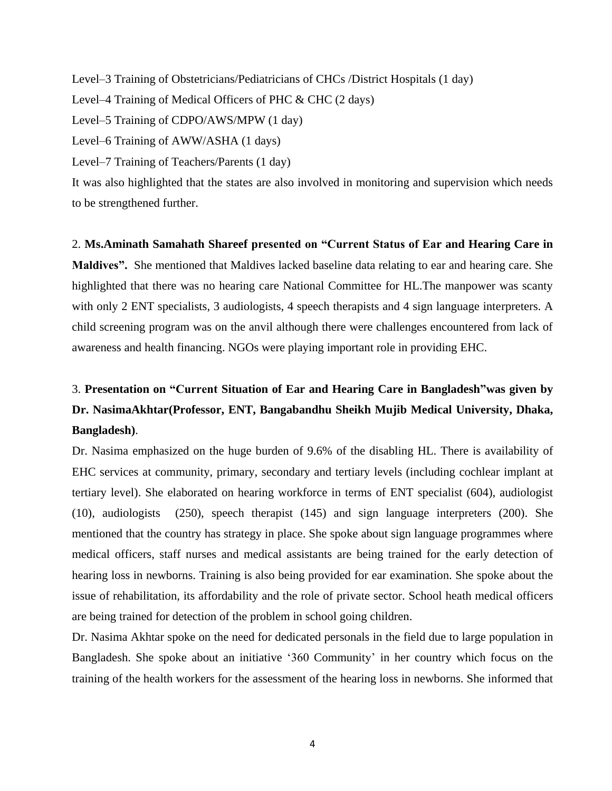Level–3 Training of Obstetricians/Pediatricians of CHCs /District Hospitals (1 day) Level–4 Training of Medical Officers of PHC & CHC (2 days) Level–5 Training of CDPO/AWS/MPW (1 day) Level–6 Training of AWW/ASHA (1 days) Level–7 Training of Teachers/Parents (1 day) It was also highlighted that the states are also involved in monitoring and supervision which needs to be strengthened further.

2. **Ms.Aminath Samahath Shareef presented on "Current Status of Ear and Hearing Care in Maldives".** She mentioned that Maldives lacked baseline data relating to ear and hearing care. She highlighted that there was no hearing care National Committee for HL.The manpower was scanty with only 2 ENT specialists, 3 audiologists, 4 speech therapists and 4 sign language interpreters. A child screening program was on the anvil although there were challenges encountered from lack of awareness and health financing. NGOs were playing important role in providing EHC.

# 3. **Presentation on "Current Situation of Ear and Hearing Care in Bangladesh"was given by Dr. NasimaAkhtar(Professor, ENT, Bangabandhu Sheikh Mujib Medical University, Dhaka, Bangladesh)**.

Dr. Nasima emphasized on the huge burden of 9.6% of the disabling HL. There is availability of EHC services at community, primary, secondary and tertiary levels (including cochlear implant at tertiary level). She elaborated on hearing workforce in terms of ENT specialist (604), audiologist (10), audiologists (250), speech therapist (145) and sign language interpreters (200). She mentioned that the country has strategy in place. She spoke about sign language programmes where medical officers, staff nurses and medical assistants are being trained for the early detection of hearing loss in newborns. Training is also being provided for ear examination. She spoke about the issue of rehabilitation, its affordability and the role of private sector. School heath medical officers are being trained for detection of the problem in school going children.

Dr. Nasima Akhtar spoke on the need for dedicated personals in the field due to large population in Bangladesh. She spoke about an initiative '360 Community' in her country which focus on the training of the health workers for the assessment of the hearing loss in newborns. She informed that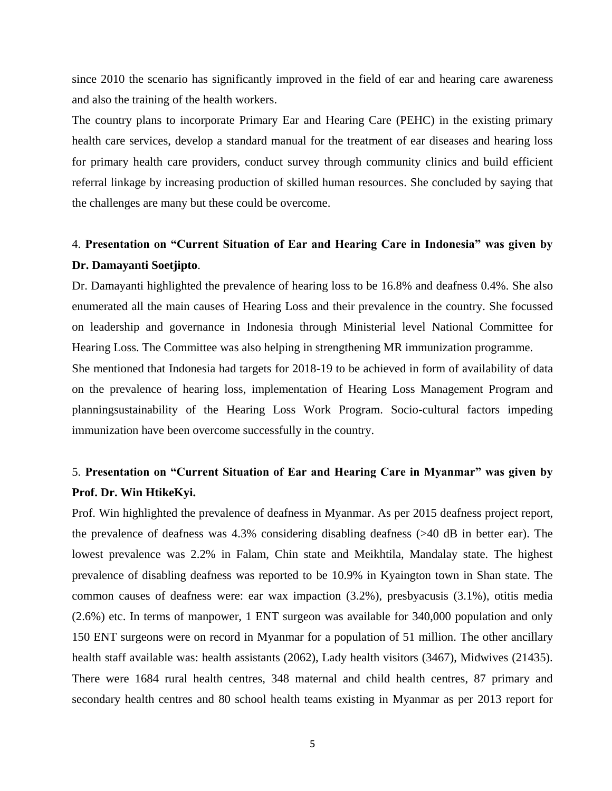since 2010 the scenario has significantly improved in the field of ear and hearing care awareness and also the training of the health workers.

The country plans to incorporate Primary Ear and Hearing Care (PEHC) in the existing primary health care services, develop a standard manual for the treatment of ear diseases and hearing loss for primary health care providers, conduct survey through community clinics and build efficient referral linkage by increasing production of skilled human resources. She concluded by saying that the challenges are many but these could be overcome.

### 4. **Presentation on "Current Situation of Ear and Hearing Care in Indonesia" was given by Dr. Damayanti Soetjipto**.

Dr. Damayanti highlighted the prevalence of hearing loss to be 16.8% and deafness 0.4%. She also enumerated all the main causes of Hearing Loss and their prevalence in the country. She focussed on leadership and governance in Indonesia through Ministerial level National Committee for Hearing Loss. The Committee was also helping in strengthening MR immunization programme.

She mentioned that Indonesia had targets for 2018-19 to be achieved in form of availability of data on the prevalence of hearing loss, implementation of Hearing Loss Management Program and planningsustainability of the Hearing Loss Work Program. Socio-cultural factors impeding immunization have been overcome successfully in the country.

## 5. **Presentation on "Current Situation of Ear and Hearing Care in Myanmar" was given by Prof. Dr. Win HtikeKyi.**

Prof. Win highlighted the prevalence of deafness in Myanmar. As per 2015 deafness project report, the prevalence of deafness was 4.3% considering disabling deafness (>40 dB in better ear). The lowest prevalence was 2.2% in Falam, Chin state and Meikhtila, Mandalay state. The highest prevalence of disabling deafness was reported to be 10.9% in Kyaington town in Shan state. The common causes of deafness were: ear wax impaction (3.2%), presbyacusis (3.1%), otitis media (2.6%) etc. In terms of manpower, 1 ENT surgeon was available for 340,000 population and only 150 ENT surgeons were on record in Myanmar for a population of 51 million. The other ancillary health staff available was: health assistants (2062), Lady health visitors (3467), Midwives (21435). There were 1684 rural health centres, 348 maternal and child health centres, 87 primary and secondary health centres and 80 school health teams existing in Myanmar as per 2013 report for